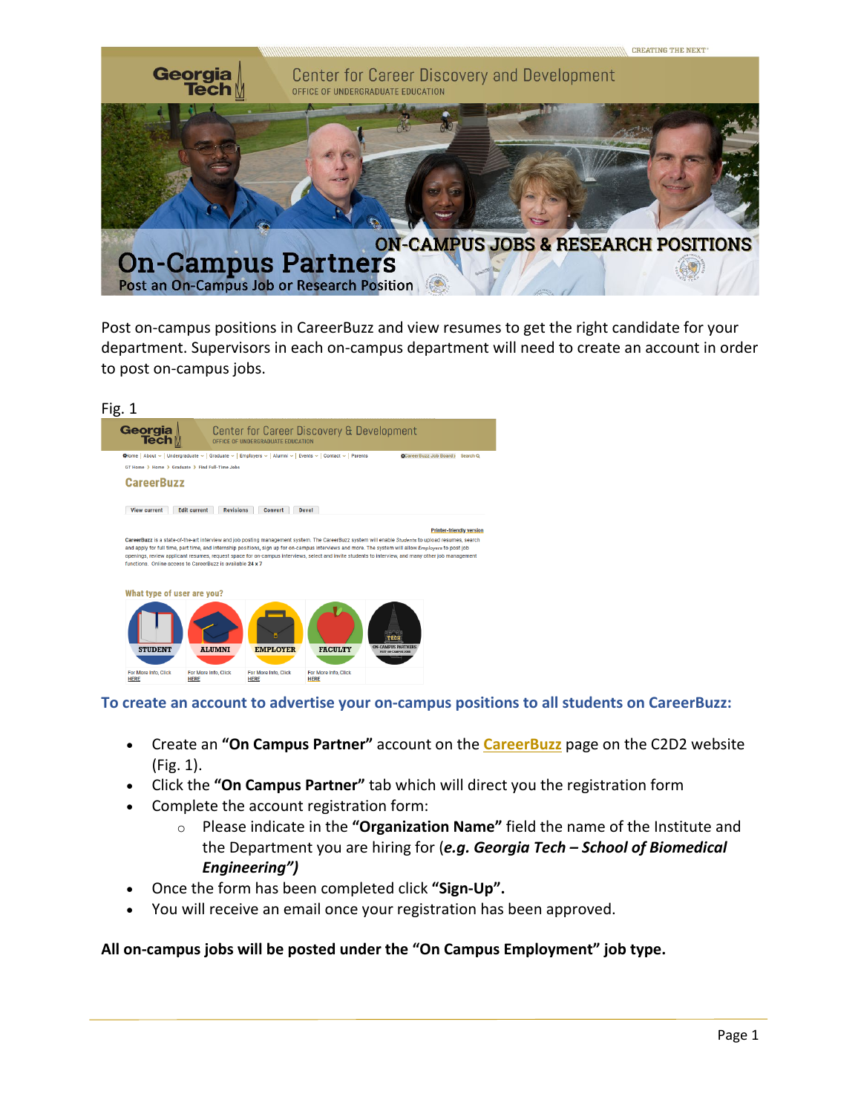

Post on-campus positions in CareerBuzz and view resumes to get the right candidate for your department. Supervisors in each on-campus department will need to create an account in order to post on-campus jobs.



**To create an account to advertise your on-campus positions to all students on CareerBuzz:**

- Create an **"On Campus Partner"** account on the **[CareerBuzz](http://career.gatech.edu/careerbuzz)** page on the C2D2 website (Fig. 1).
- Click the **"On Campus Partner"** tab which will direct you the registration form
- Complete the account registration form:
	- o Please indicate in the **"Organization Name"** field the name of the Institute and the Department you are hiring for (*e.g. Georgia Tech – School of Biomedical Engineering")*
- Once the form has been completed click **"Sign-Up".**
- You will receive an email once your registration has been approved.

## **All on-campus jobs will be posted under the "On Campus Employment" job type.**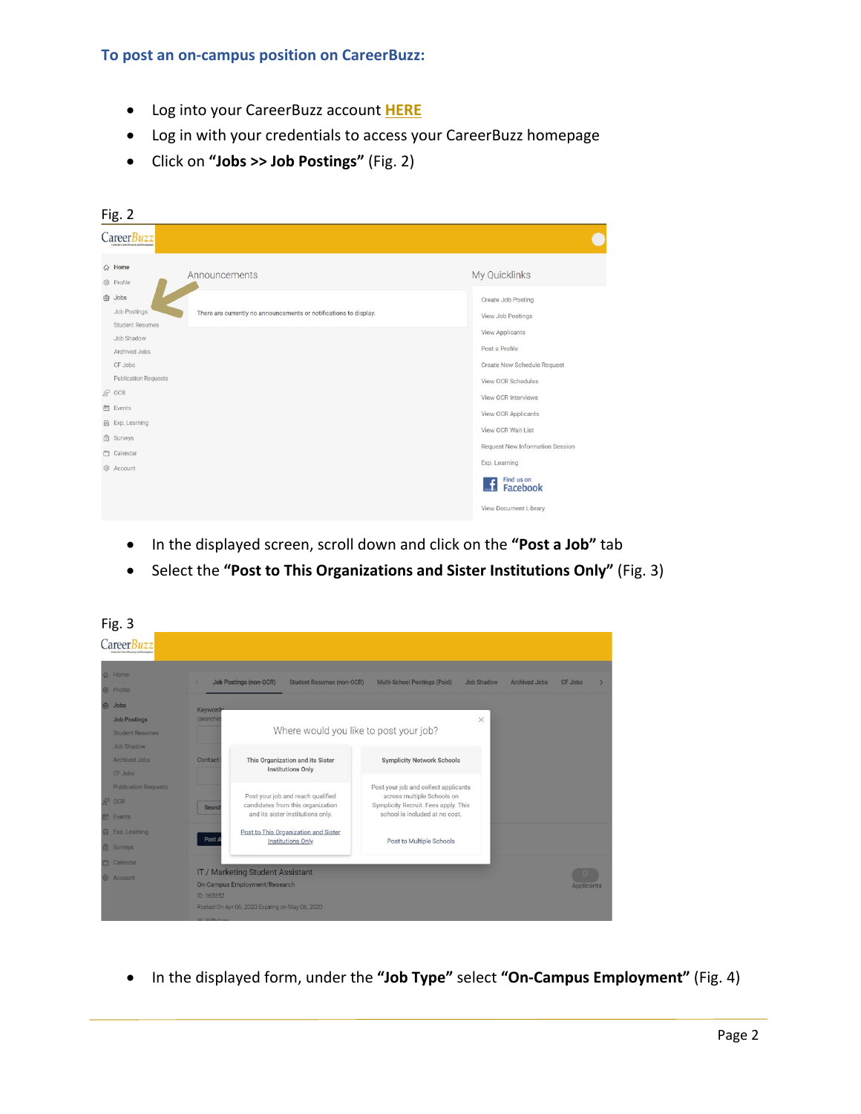- Log into your CareerBuzz account **[HERE](https://gatech-csm.symplicity.com/employers/)**
- Log in with your credentials to access your CareerBuzz homepage
- Click on **"Jobs >> Job Postings"** (Fig. 2)

| Fig. 2             |                                                                                                                     |                                                                         |  |  |
|--------------------|---------------------------------------------------------------------------------------------------------------------|-------------------------------------------------------------------------|--|--|
|                    | Career Buzz                                                                                                         |                                                                         |  |  |
| $\hat{w}$<br>83    | Home<br>Announcements<br>Profile                                                                                    | My Quicklinks                                                           |  |  |
| 白                  | Jobs<br>Job Postings<br>There are currently no announcements or notifications to display.<br><b>Student Resumes</b> | Create Job Posting<br>View Job Postings                                 |  |  |
|                    | Job Shadow<br>Archived Jobs<br>CF Jobs                                                                              | <b>View Applicants</b><br>Post a Profile<br>Create New Schedule Request |  |  |
| $R^2$              | <b>Publication Requests</b><br>OCR                                                                                  | View OCR Schedules<br>View OCR Interviews                               |  |  |
| 白<br>品<br>自        | Events<br>Exp. Learning<br>Surveys                                                                                  | View OCR Applicants<br>View OCR Wait-List                               |  |  |
| 凸<br>$\mathcal{E}$ | Calendar<br>Account                                                                                                 | Request New Information Session<br>Exp. Learning                        |  |  |
|                    |                                                                                                                     | Find us on<br>Facebook<br>View Document Library                         |  |  |
|                    |                                                                                                                     |                                                                         |  |  |

- In the displayed screen, scroll down and click on the **"Post a Job"** tab
- Select the **"Post to This Organizations and Sister Institutions Only"** (Fig. 3)



• In the displayed form, under the **"Job Type"** select **"On-Campus Employment"** (Fig. 4)